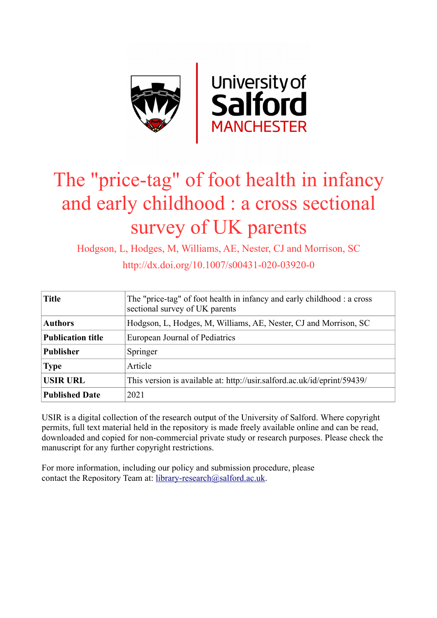

# The "price-tag" of foot health in infancy and early childhood : a cross sectional survey of UK parents

Hodgson, L, Hodges, M, Williams, AE, Nester, CJ and Morrison, SC

http://dx.doi.org/10.1007/s00431-020-03920-0

| <b>Title</b>             | The "price-tag" of foot health in infancy and early childhood : a cross<br>sectional survey of UK parents |  |  |
|--------------------------|-----------------------------------------------------------------------------------------------------------|--|--|
| <b>Authors</b>           | Hodgson, L, Hodges, M, Williams, AE, Nester, CJ and Morrison, SC                                          |  |  |
| <b>Publication title</b> | European Journal of Pediatrics                                                                            |  |  |
| <b>Publisher</b>         | Springer                                                                                                  |  |  |
| <b>Type</b>              | Article                                                                                                   |  |  |
| <b>USIR URL</b>          | This version is available at: http://usir.salford.ac.uk/id/eprint/59439/                                  |  |  |
| <b>Published Date</b>    | 2021                                                                                                      |  |  |

USIR is a digital collection of the research output of the University of Salford. Where copyright permits, full text material held in the repository is made freely available online and can be read, downloaded and copied for non-commercial private study or research purposes. Please check the manuscript for any further copyright restrictions.

For more information, including our policy and submission procedure, please contact the Repository Team at: [library-research@salford.ac.uk.](mailto:library-research@salford.ac.uk)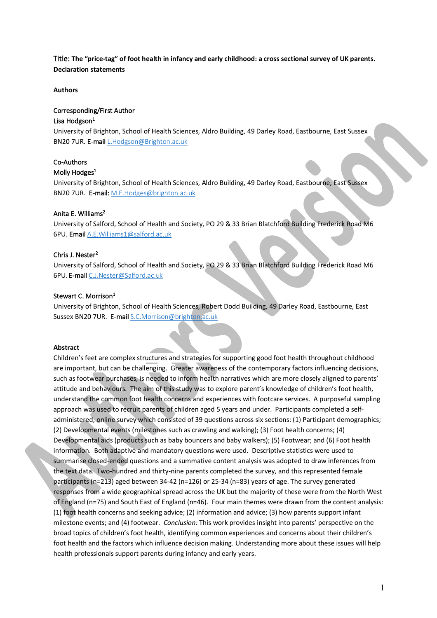# Title: **The "price-tag" of foot health in infancy and early childhood: a cross sectional survey of UK parents. Declaration statements**

## **Authors**

## Corresponding/First Author

## Lisa Hodgson $1$

University of Brighton, School of Health Sciences, Aldro Building, 49 Darley Road, Eastbourne, East Sussex BN20 7UR. E-mail L.Hodgson@Brighton.ac.uk

# Co-Authors

## Molly Hodges<sup>1</sup>

University of Brighton, School of Health Sciences, Aldro Building, 49 Darley Road, Eastbourne, East Sussex BN20 7UR. E-mail: M.E.Hodges@brighton.ac.uk

## Anita E. Williams2

University of Salford, School of Health and Society, PO 29 & 33 Brian Blatchford Building Frederick Road M6 6PU. Email A.E.Williams1@salford.ac.uk

## Chris J. Nester<sup>2</sup>

University of Salford, School of Health and Society, PO 29 & 33 Brian Blatchford Building Frederick Road M6 6PU. E-mail C.J.Nester@Salford.ac.uk

## Stewart C. Morrison<sup>1</sup>

University of Brighton, School of Health Sciences, Robert Dodd Building, 49 Darley Road, Eastbourne, East Sussex BN20 7UR. E-mail S.C.Morrison@brighton.ac.uk

## **Abstract**

Children's feet are complex structures and strategies for supporting good foot health throughout childhood are important, but can be challenging. Greater awareness of the contemporary factors influencing decisions, such as footwear purchases, is needed to inform health narratives which are more closely aligned to parents' attitude and behaviours. The aim of this study was to explore parent's knowledge of children's foot health, understand the common foot health concerns and experiences with footcare services. A purposeful sampling approach was used to recruit parents of children aged 5 years and under. Participants completed a selfadministered, online survey which consisted of 39 questions across six sections: (1) Participant demographics; (2) Developmental events (milestones such as crawling and walking); (3) Foot health concerns; (4) Developmental aids (products such as baby bouncers and baby walkers); (5) Footwear; and (6) Foot health information. Both adaptive and mandatory questions were used. Descriptive statistics were used to summarise closed-ended questions and a summative content analysis was adopted to draw inferences from the text data. Two-hundred and thirty-nine parents completed the survey, and this represented female participants (n=213) aged between 34-42 (n=126) or 25-34 (n=83) years of age. The survey generated responses from a wide geographical spread across the UK but the majority of these were from the North West of England (n=75) and South East of England (n=46). Four main themes were drawn from the content analysis: (1) foot health concerns and seeking advice; (2) information and advice; (3) how parents support infant milestone events; and (4) footwear. *Conclusion:* This work provides insight into parents' perspective on the broad topics of children's foot health, identifying common experiences and concerns about their children's foot health and the factors which influence decision making. Understanding more about these issues will help health professionals support parents during infancy and early years.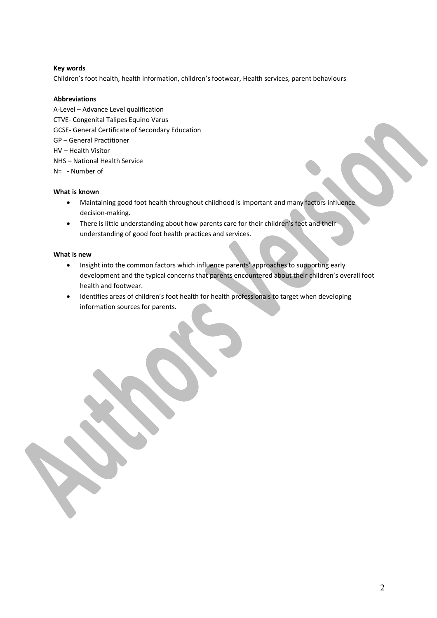## **Key words**

Children's foot health, health information, children's footwear, Health services, parent behaviours

## **Abbreviations**

A-Level – Advance Level qualification CTVE- Congenital Talipes Equino Varus GCSE- General Certificate of Secondary Education GP – General Practitioner HV – Health Visitor NHS – National Health Service N= - Number of

## **What is known**

- Maintaining good foot health throughout childhood is important and many factors influence decision-making.
- There is little understanding about how parents care for their children's feet and their understanding of good foot health practices and services.

## **What is new**

- Insight into the common factors which influence parents' approaches to supporting early development and the typical concerns that parents encountered about their children's overall foot health and footwear.
- Identifies areas of children's foot health for health professionals to target when developing information sources for parents.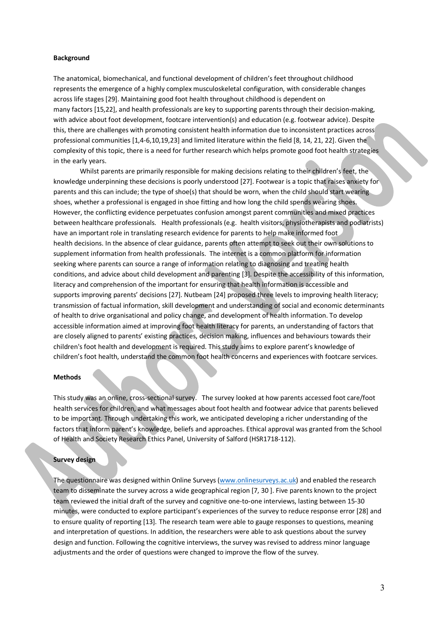#### **Background**

The anatomical, biomechanical, and functional development of children's feet throughout childhood represents the emergence of a highly complex musculoskeletal configuration, with considerable changes across life stages [29]. Maintaining good foot health throughout childhood is dependent on many factors [15,22], and health professionals are key to supporting parents through their decision-making, with advice about foot development, footcare intervention(s) and education (e.g. footwear advice). Despite this, there are challenges with promoting consistent health information due to inconsistent practices across professional communities [1,4-6,10,19,23] and limited literature within the field [8, 14, 21, 22]. Given the complexity of this topic, there is a need for further research which helps promote good foot health strategies in the early years.

Whilst parents are primarily responsible for making decisions relating to their children's feet, the knowledge underpinning these decisions is poorly understood [27]. Footwear is a topic that raises anxiety for parents and this can include; the type of shoe(s) that should be worn, when the child should start wearing shoes, whether a professional is engaged in shoe fitting and how long the child spends wearing shoes. However, the conflicting evidence perpetuates confusion amongst parent communities and mixed practices between healthcare professionals. Health professionals (e.g. health visitors, physiotherapists and podiatrists) have an important role in translating research evidence for parents to help make informed foot health decisions. In the absence of clear guidance, parents often attempt to seek out their own solutions to supplement information from health professionals. The internet is a common platform for information seeking where parents can source a range of information relating to diagnosing and treating health conditions, and advice about child development and parenting [3]. Despite the accessibility of this information, literacy and comprehension of the important for ensuring that health information is accessible and supports improving parents' decisions [27]. Nutbeam [24] proposed three levels to improving health literacy; transmission of factual information, skill development and understanding of social and economic determinants of health to drive organisational and policy change, and development of health information. To develop accessible information aimed at improving foot health literacy for parents, an understanding of factors that are closely aligned to parents' existing practices, decision making, influences and behaviours towards their children's foot health and development is required. This study aims to explore parent's knowledge of children's foot health, understand the common foot health concerns and experiences with footcare services.

## **Methods**

This study was an online, cross-sectional survey. The survey looked at how parents accessed foot care/foot health services for children, and what messages about foot health and footwear advice that parents believed to be important. Through undertaking this work, we anticipated developing a richer understanding of the factors that inform parent's knowledge, beliefs and approaches. Ethical approval was granted from the School of Health and Society Research Ethics Panel, University of Salford (HSR1718-112).

#### **Survey design**

The questionnaire was designed within Online Surveys (www.onlinesurveys.ac.uk) and enabled the research team to disseminate the survey across a wide geographical region [7, 30 ]. Five parents known to the project team reviewed the initial draft of the survey and cognitive one-to-one interviews, lasting between 15-30 minutes, were conducted to explore participant's experiences of the survey to reduce response error [28] and to ensure quality of reporting [13]. The research team were able to gauge responses to questions, meaning and interpretation of questions. In addition, the researchers were able to ask questions about the survey design and function. Following the cognitive interviews, the survey was revised to address minor language adjustments and the order of questions were changed to improve the flow of the survey.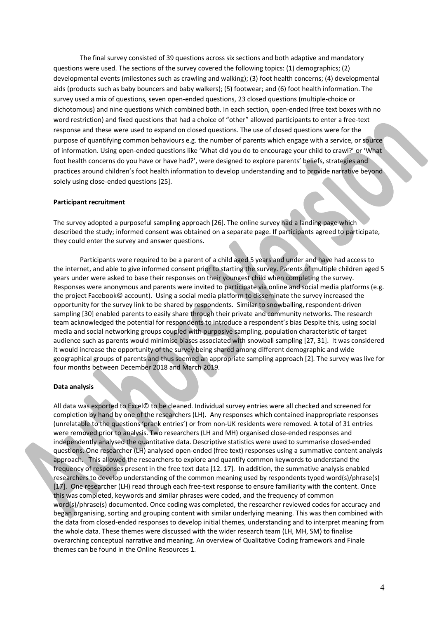The final survey consisted of 39 questions across six sections and both adaptive and mandatory questions were used. The sections of the survey covered the following topics: (1) demographics; (2) developmental events (milestones such as crawling and walking); (3) foot health concerns; (4) developmental aids (products such as baby bouncers and baby walkers); (5) footwear; and (6) foot health information. The survey used a mix of questions, seven open-ended questions, 23 closed questions (multiple-choice or dichotomous) and nine questions which combined both. In each section, open-ended (free text boxes with no word restriction) and fixed questions that had a choice of "other" allowed participants to enter a free-text response and these were used to expand on closed questions. The use of closed questions were for the purpose of quantifying common behaviours e.g. the number of parents which engage with a service, or source of information. Using open-ended questions like 'What did you do to encourage your child to crawl?' or 'What foot health concerns do you have or have had?', were designed to explore parents' beliefs, strategies and practices around children's foot health information to develop understanding and to provide narrative beyond solely using close-ended questions [25].

#### **Participant recruitment**

The survey adopted a purposeful sampling approach [26]. The online survey had a landing page which described the study; informed consent was obtained on a separate page. If participants agreed to participate, they could enter the survey and answer questions.

Participants were required to be a parent of a child aged 5 years and under and have had access to the internet, and able to give informed consent prior to starting the survey. Parents of multiple children aged 5 years under were asked to base their responses on their youngest child when completing the survey. Responses were anonymous and parents were invited to participate via online and social media platforms (e.g. the project Facebook© account). Using a social media platform to disseminate the survey increased the opportunity for the survey link to be shared by respondents. Similar to snowballing, respondent-driven sampling [30] enabled parents to easily share through their private and community networks. The research team acknowledged the potential for respondents to introduce a respondent's bias Despite this, using social media and social networking groups coupled with purposive sampling, population characteristic of target audience such as parents would minimise biases associated with snowball sampling [27, 31]. It was considered it would increase the opportunity of the survey being shared among different demographic and wide geographical groups of parents and thus seemed an appropriate sampling approach [2]. The survey was live for four months between December 2018 and March 2019.

## **Data analysis**

All data was exported to Excel© to be cleaned. Individual survey entries were all checked and screened for completion by hand by one of the researchers (LH). Any responses which contained inappropriate responses (unrelatable to the questions 'prank entries') or from non-UK residents were removed. A total of 31 entries were removed prior to analysis. Two researchers (LH and MH) organised close-ended responses and independently analysed the quantitative data. Descriptive statistics were used to summarise closed-ended questions. One researcher (LH) analysed open-ended (free text) responses using a summative content analysis approach. This allowed the researchers to explore and quantify common keywords to understand the frequency of responses present in the free text data [12. 17]. In addition, the summative analysis enabled researchers to develop understanding of the common meaning used by respondents typed word(s)/phrase(s) [17]. One researcher (LH) read through each free-text response to ensure familiarity with the content. Once this was completed, keywords and similar phrases were coded, and the frequency of common word(s)/phrase(s) documented. Once coding was completed, the researcher reviewed codes for accuracy and began organising, sorting and grouping content with similar underlying meaning. This was then combined with the data from closed-ended responses to develop initial themes, understanding and to interpret meaning from the whole data. These themes were discussed with the wider research team (LH, MH, SM) to finalise overarching conceptual narrative and meaning. An overview of Qualitative Coding framework and Finale themes can be found in the Online Resources 1.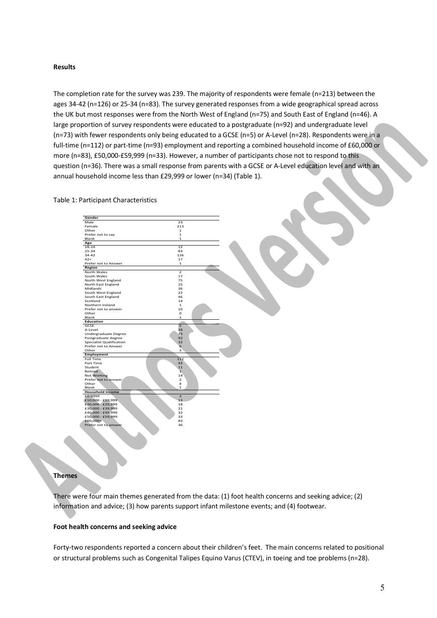#### **Results**

The completion rate for the survey was 239. The majority of respondents were female (n=213) between the ages 34-42 (n=126) or 25-34 (n=83). The survey generated responses from a wide geographical spread across the UK but most responses were from the North West of England (n=75) and South East of England (n=46). A large proportion of survey respondents were educated to a postgraduate (n=92) and undergraduate level (n=73) with fewer respondents only being educated to a GCSE (n=5) or A-Level (n=28). Respondents were in a full-time (n=112) or part-time (n=93) employment and reporting a combined household income of £60,000 or more (n=83), £50,000-£59,999 (n=33). However, a number of participants chose not to respond to this question (n=36). There was a small response from parents with a GCSE or A-Level education level and with an annual household income less than £29,999 or lower (n=34) (Table 1).

#### Table 1: Participant Characteristics

| Gender                          |                         |
|---------------------------------|-------------------------|
| Male                            | 23                      |
| Female                          | 213                     |
| Other                           | 1                       |
| Prefer not to say               | $\mathbf{1}$            |
| Blank                           | 1                       |
| Age                             |                         |
| 18-24                           | 12                      |
| $25 - 34$                       | 83                      |
| 34-42                           | 126                     |
| $42+$                           | 17                      |
| Prefer not to Answer            | $\mathbf{1}$            |
| Region                          |                         |
| North Wales                     | $\mathcal{P}$           |
| South Wales                     | 17                      |
| North West England              | 75                      |
| North East England              | 15                      |
| Midlands                        | 36                      |
| South West England              | 22                      |
| South East England              | 46                      |
| Scotland                        | 14                      |
| Northern Ireland                | $\mathbf{1}$            |
| Prefer not to answer            | 10                      |
| Other                           | 0                       |
| Blank                           | $\mathbf{1}$            |
| <b>Education</b>                |                         |
| GCSE                            | 5                       |
| A-Level                         | 28                      |
| Undergraduate Degree            | 73                      |
| Postgraduate degree             | 92                      |
| <b>Specialist Qualification</b> | 32                      |
| Prefer not to Answer            | 6                       |
| Other                           | 3                       |
| Employment                      |                         |
| <b>Full Time</b>                | 112                     |
| Part Time                       | 93                      |
| Student                         | 11                      |
| Retired                         | $\overline{1}$          |
| Not Working                     | 14                      |
| Prefer not to answer            | $\overline{2}$          |
| Other                           | 4                       |
| Blank                           | 1                       |
| <b>Household Income</b>         |                         |
| £0-9999                         | $\overline{\mathbf{3}}$ |
| £10,000 - £19,999               | 13                      |
| £20,000 - £29,999               | 18                      |
| £30,000 - £39,999               | 21                      |
| £40,000 - £49,999               | 32                      |
| £50,000 - £59,999               | 33                      |
| £60,000+                        | 83                      |
| Prefer not to answer            | 36                      |
|                                 |                         |
|                                 |                         |
|                                 |                         |

## **Themes**

There were four main themes generated from the data: (1) foot health concerns and seeking advice; (2) information and advice; (3) how parents support infant milestone events; and (4) footwear.

## **Foot health concerns and seeking advice**

Forty-two respondents reported a concern about their children's feet. The main concerns related to positional or structural problems such as Congenital Talipes Equino Varus (CTEV), in toeing and toe problems (n=28).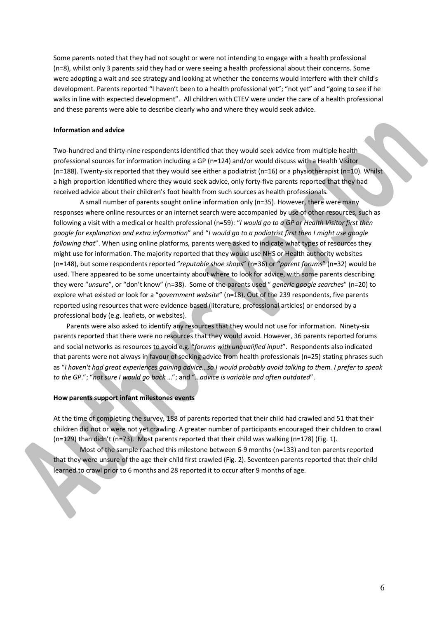Some parents noted that they had not sought or were not intending to engage with a health professional (n=8), whilst only 3 parents said they had or were seeing a health professional about their concerns. Some were adopting a wait and see strategy and looking at whether the concerns would interfere with their child's development. Parents reported "I haven't been to a health professional yet"; "not yet" and "going to see if he walks in line with expected development". All children with CTEV were under the care of a health professional and these parents were able to describe clearly who and where they would seek advice.

#### **Information and advice**

Two-hundred and thirty-nine respondents identified that they would seek advice from multiple health professional sources for information including a GP (n=124) and/or would discuss with a Health Visitor (n=188). Twenty-six reported that they would see either a podiatrist (n=16) or a physiotherapist (n=10). Whilst a high proportion identified where they would seek advice, only forty-five parents reported that they had received advice about their children's foot health from such sources as health professionals.

A small number of parents sought online information only (n=35). However, there were many responses where online resources or an internet search were accompanied by use of other resources, such as following a visit with a medical or health professional (n=59): "*I would go to a GP or Health Visitor first then google for explanation and extra information*" and "*I would go to a podiatrist first then I might use google following that*". When using online platforms, parents were asked to indicate what types of resources they might use for information. The majority reported that they would use NHS or Health authority websites (n=148), but some respondents reported "*reputable shoe shops*" (n=36) or "*parent forums*" (n=32) would be used. There appeared to be some uncertainty about where to look for advice, with some parents describing they were "*unsure*", or "don't know" (n=38). Some of the parents used " *generic google searches*" (n=20) to explore what existed or look for a "*government website*" (n=18). Out of the 239 respondents, five parents reported using resources that were evidence-based (literature, professional articles) or endorsed by a professional body (e.g. leaflets, or websites).

Parents were also asked to identify any resources that they would not use for information. Ninety-six parents reported that there were no resources that they would avoid. However, 36 parents reported forums and social networks as resources to avoid e.g. "*forums with unqualified input*". Respondents also indicated that parents were not always in favour of seeking advice from health professionals (n=25) stating phrases such as "*I haven't had great experiences gaining advice…so I would probably avoid talking to them. I prefer to speak to the GP*."; "*not sure I would go back* …"; and "…*advice is variable and often outdated*".

### **How parents support infant milestones events**

At the time of completing the survey, 188 of parents reported that their child had crawled and 51 that their children did not or were not yet crawling. A greater number of participants encouraged their children to crawl (n=129) than didn't (n=73). Most parents reported that their child was walking (n=178) (Fig. 1).

Most of the sample reached this milestone between 6-9 months (n=133) and ten parents reported that they were unsure of the age their child first crawled (Fig. 2). Seventeen parents reported that their child learned to crawl prior to 6 months and 28 reported it to occur after 9 months of age.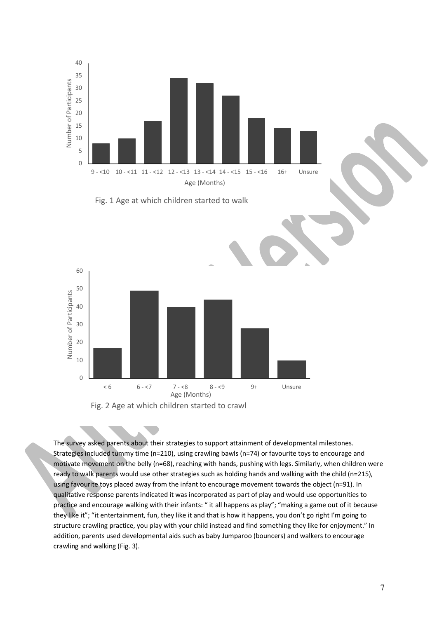

The survey asked parents about their strategies to support attainment of developmental milestones. Strategies included tummy time (n=210), using crawling bawls (n=74) or favourite toys to encourage and motivate movement on the belly (n=68), reaching with hands, pushing with legs. Similarly, when children were ready to walk parents would use other strategies such as holding hands and walking with the child (n=215), using favourite toys placed away from the infant to encourage movement towards the object (n=91). In qualitative response parents indicated it was incorporated as part of play and would use opportunities to practice and encourage walking with their infants: " it all happens as play"; "making a game out of it because they like it"; "it entertainment, fun, they like it and that is how it happens, you don't go right I'm going to structure crawling practice, you play with your child instead and find something they like for enjoyment." In addition, parents used developmental aids such as baby Jumparoo (bouncers) and walkers to encourage crawling and walking (Fig. 3).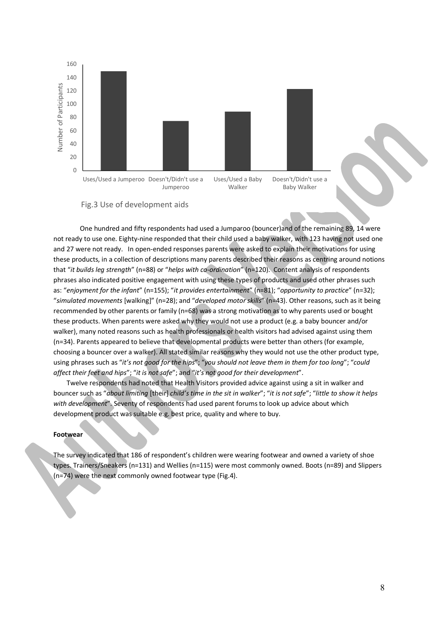



One hundred and fifty respondents had used a Jumparoo (bouncer)and of the remaining 89, 14 were not ready to use one. Eighty-nine responded that their child used a baby walker, with 123 having not used one and 27 were not ready. In open-ended responses parents were asked to explain their motivations for using these products, in a collection of descriptions many parents described their reasons as centring around notions that "*it builds leg strength*" (n=88) or "*helps with co-ordination*" (n=120). Content analysis of respondents phrases also indicated positive engagement with using these types of products and used other phrases such as: "*enjoyment for the infant*" (n=155); "*it provides entertainment*" (n=81); "*opportunity to practice*" (n=32); "*simulated movements* [walking]" (n=28); and "*developed motor skills*" (n=43). Other reasons, such as it being recommended by other parents or family (n=68) was a strong motivation as to why parents used or bought these products. When parents were asked why they would not use a product (e.g. a baby bouncer and/or walker), many noted reasons such as health professionals or health visitors had advised against using them (n=34). Parents appeared to believe that developmental products were better than others (for example, choosing a bouncer over a walker). All stated similar reasons why they would not use the other product type, using phrases such as "*it's not good for the hips*"; "*you should not leave them in them for too long*"; "*could affect their feet and hips*"; "*it is not safe*"; and "*it's not good for their development*".

Twelve respondents had noted that Health Visitors provided advice against using a sit in walker and bouncer such as "*about limiting* [their] *child's time in the sit in walker*"; "*it is not safe*"; "*little to show it helps with development*". Seventy of respondents had used parent forums to look up advice about which development product was suitable e.g. best price, quality and where to buy.

#### **Footwear**

The survey indicated that 186 of respondent's children were wearing footwear and owned a variety of shoe types. Trainers/Sneakers (n=131) and Wellies (n=115) were most commonly owned. Boots (n=89) and Slippers (n=74) were the next commonly owned footwear type (Fig.4).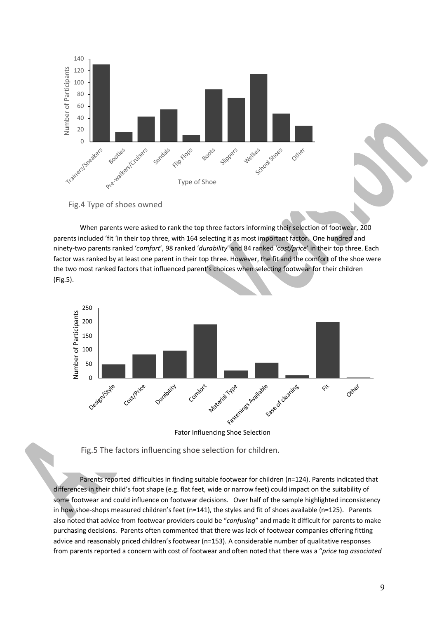

Fig.4 Type of shoes owned

When parents were asked to rank the top three factors informing their selection of footwear, 200 parents included 'fit 'in their top three, with 164 selecting it as most important factor. One hundred and ninety-two parents ranked '*comfort*', 98 ranked '*durability*' and 84 ranked 'c*ost/price*' in their top three. Each factor was ranked by at least one parent in their top three. However, the fit and the comfort of the shoe were the two most ranked factors that influenced parent's choices when selecting footwear for their children (Fig.5).



Fator Influencing Shoe Selection

Fig.5 The factors influencing shoe selection for children.

Parents reported difficulties in finding suitable footwear for children (n=124). Parents indicated that differences in their child's foot shape (e.g. flat feet, wide or narrow feet) could impact on the suitability of some footwear and could influence on footwear decisions. Over half of the sample highlighted inconsistency in how shoe-shops measured children's feet (n=141), the styles and fit of shoes available (n=125). Parents also noted that advice from footwear providers could be "*confusing*" and made it difficult for parents to make purchasing decisions. Parents often commented that there was lack of footwear companies offering fitting advice and reasonably priced children's footwear (n=153). A considerable number of qualitative responses from parents reported a concern with cost of footwear and often noted that there was a "*price tag associated*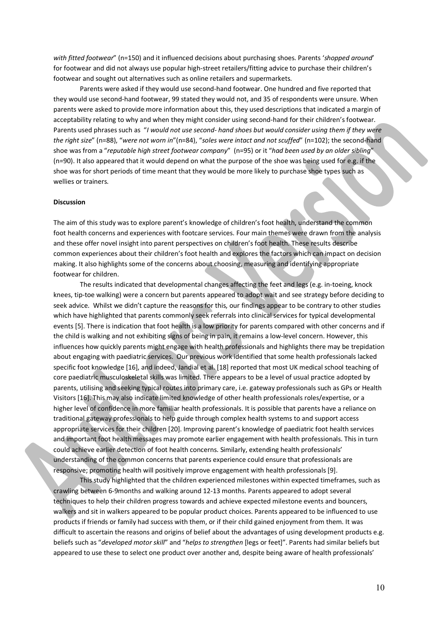*with fitted footwear*" (n=150) and it influenced decisions about purchasing shoes. Parents '*shopped around*' for footwear and did not always use popular high-street retailers/fitting advice to purchase their children's footwear and sought out alternatives such as online retailers and supermarkets.

Parents were asked if they would use second-hand footwear. One hundred and five reported that they would use second-hand footwear, 99 stated they would not, and 35 of respondents were unsure. When parents were asked to provide more information about this, they used descriptions that indicated a margin of acceptability relating to why and when they might consider using second-hand for their children's footwear. Parents used phrases such as "*I would not use second- hand shoes but would consider using them if they were the right size*" (n=88), "*were not worn in*"(n=84), "*soles were intact and not scuffed*" (n=102); the second-hand shoe was from a "*reputable high street footwear company*" (n=95) or it "*had been used by an older sibling*" (n=90). It also appeared that it would depend on what the purpose of the shoe was being used for e.g. if the shoe was for short periods of time meant that they would be more likely to purchase shoe types such as wellies or trainers.

#### **Discussion**

The aim of this study was to explore parent's knowledge of children's foot health, understand the common foot health concerns and experiences with footcare services. Four main themes were drawn from the analysis and these offer novel insight into parent perspectives on children's foot health. These results describe common experiences about their children's foot health and explores the factors which can impact on decision making. It also highlights some of the concerns about choosing, measuring and identifying appropriate footwear for children.

The results indicated that developmental changes affecting the feet and legs (e.g. in-toeing, knock knees, tip-toe walking) were a concern but parents appeared to adopt wait and see strategy before deciding to seek advice. Whilst we didn't capture the reasons for this, our findings appear to be contrary to other studies which have highlighted that parents commonly seek referrals into clinical services for typical developmental events [5]. There is indication that foot health is a low priority for parents compared with other concerns and if the child is walking and not exhibiting signs of being in pain, it remains a low-level concern. However, this influences how quickly parents might engage with health professionals and highlights there may be trepidation about engaging with paediatric services. Our previous work identified that some health professionals lacked specific foot knowledge [16], and indeed, Jandial et al. [18] reported that most UK medical school teaching of core paediatric musculoskeletal skills was limited. There appears to be a level of usual practice adopted by parents, utilising and seeking typical routes into primary care, i.e. gateway professionals such as GPs or Health Visitors [16]. This may also indicate limited knowledge of other health professionals roles/expertise, or a higher level of confidence in more familiar health professionals. It is possible that parents have a reliance on traditional gateway professionals to help guide through complex health systems to and support access appropriate services for their children [20]. Improving parent's knowledge of paediatric foot health services and important foot health messages may promote earlier engagement with health professionals. This in turn could achieve earlier detection of foot health concerns. Similarly, extending health professionals' understanding of the common concerns that parents experience could ensure that professionals are responsive; promoting health will positively improve engagement with health professionals [9].

This study highlighted that the children experienced milestones within expected timeframes, such as crawling between 6-9months and walking around 12-13 months. Parents appeared to adopt several techniques to help their children progress towards and achieve expected milestone events and bouncers, walkers and sit in walkers appeared to be popular product choices. Parents appeared to be influenced to use products if friends or family had success with them, or if their child gained enjoyment from them. It was difficult to ascertain the reasons and origins of belief about the advantages of using development products e.g. beliefs such as "*developed motor skill*" and "*helps to strengthen* [legs or feet]". Parents had similar beliefs but appeared to use these to select one product over another and, despite being aware of health professionals'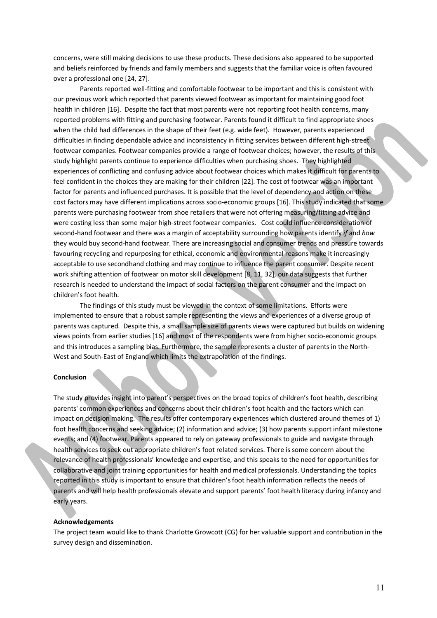concerns, were still making decisions to use these products. These decisions also appeared to be supported and beliefs reinforced by friends and family members and suggests that the familiar voice is often favoured over a professional one [24, 27].

Parents reported well-fitting and comfortable footwear to be important and this is consistent with our previous work which reported that parents viewed footwear as important for maintaining good foot health in children [16]. Despite the fact that most parents were not reporting foot health concerns, many reported problems with fitting and purchasing footwear. Parents found it difficult to find appropriate shoes when the child had differences in the shape of their feet (e.g. wide feet). However, parents experienced difficulties in finding dependable advice and inconsistency in fitting services between different high-street footwear companies. Footwear companies provide a range of footwear choices; however, the results of this study highlight parents continue to experience difficulties when purchasing shoes. They highlighted experiences of conflicting and confusing advice about footwear choices which makes it difficult for parents to feel confident in the choices they are making for their children [22]. The cost of footwear was an important factor for parents and influenced purchases. It is possible that the level of dependency and action on these cost factors may have different implications across socio-economic groups [16]. This study indicated that some parents were purchasing footwear from shoe retailers that were not offering measuring/fitting advice and were costing less than some major high-street footwear companies. Cost could influence consideration of second-hand footwear and there was a margin of acceptability surrounding how parents identify *if* and *how* they would buy second-hand footwear. There are increasing social and consumer trends and pressure towards favouring recycling and repurposing for ethical, economic and environmental reasons make it increasingly acceptable to use secondhand clothing and may continue to influence the parent consumer. Despite recent work shifting attention of footwear on motor skill development [8, 11, 32], our data suggests that further research is needed to understand the impact of social factors on the parent consumer and the impact on children's foot health.

The findings of this study must be viewed in the context of some limitations. Efforts were implemented to ensure that a robust sample representing the views and experiences of a diverse group of parents was captured. Despite this, a small sample size of parents views were captured but builds on widening views points from earlier studies [16] and most of the respondents were from higher socio-economic groups and this introduces a sampling bias. Furthermore, the sample represents a cluster of parents in the North-West and South-East of England which limits the extrapolation of the findings.

## **Conclusion**

The study provides insight into parent's perspectives on the broad topics of children's foot health, describing parents' common experiences and concerns about their children's foot health and the factors which can impact on decision making. The results offer contemporary experiences which clustered around themes of 1) foot health concerns and seeking advice; (2) information and advice; (3) how parents support infant milestone events; and (4) footwear. Parents appeared to rely on gateway professionals to guide and navigate through health services to seek out appropriate children's foot related services. There is some concern about the relevance of health professionals' knowledge and expertise, and this speaks to the need for opportunities for collaborative and joint training opportunities for health and medical professionals. Understanding the topics reported in this study is important to ensure that children's foot health information reflects the needs of parents and will help health professionals elevate and support parents' foot health literacy during infancy and early years.

#### **Acknowledgements**

The project team would like to thank Charlotte Growcott (CG) for her valuable support and contribution in the survey design and dissemination.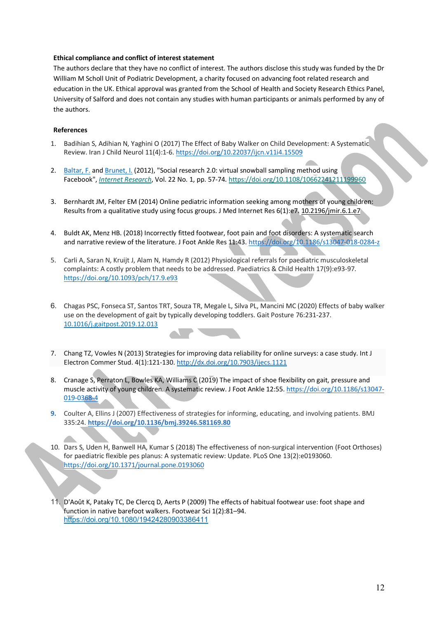## **Ethical compliance and conflict of interest statement**

The authors declare that they have no conflict of interest. The authors disclose this study was funded by the Dr William M Scholl Unit of Podiatric Development, a charity focused on advancing foot related research and education in the UK. Ethical approval was granted from the School of Health and Society Research Ethics Panel, University of Salford and does not contain any studies with human participants or animals performed by any of the authors.

## **References**

- 1. Badihian S, Adihian N, Yaghini O (2017) The Effect of Baby Walker on Child Development: A Systematic Review. Iran J Child Neurol 11(4):1-6. https://doi.org/10.22037/ijcn.v11i4.15509
- 2. Baltar, F. and Brunet, I. (2012), "Social research 2.0: virtual snowball sampling method using Facebook", *Internet Research*, Vol. 22 No. 1, pp. 57-74. https://doi.org/10.1108/10662241211199960
- 3. Bernhardt JM, Felter EM (2014) Online pediatric information seeking among mothers of young children: Results from a qualitative study using focus groups. J Med Internet Res 6(1):e7. 10.2196/jmir.6.1.e7
- 4. Buldt AK, Menz HB. (2018) Incorrectly fitted footwear, foot pain and foot disorders: A systematic search and narrative review of the literature. J Foot Ankle Res 11:43. https://doi.org/10.1186/s13047-018-0284-z
- 5. Carli A, Saran N, Kruijt J, Alam N, Hamdy R (2012) Physiological referrals for paediatric musculoskeletal complaints: A costly problem that needs to be addressed. Paediatrics & Child Health 17(9):e93-97. https://doi.org/10.1093/pch/17.9.e93
- 6. Chagas PSC, Fonseca ST, Santos TRT, Souza TR, Megale L, Silva PL, Mancini MC (2020) Effects of baby walker use on the development of gait by typically developing toddlers. Gait Posture 76:231-237. 10.1016/j.gaitpost.2019.12.013
- 7. Chang TZ, Vowles N (2013) Strategies for improving data reliability for online surveys: a case study. Int J Electron Commer Stud. 4(1):121-130. http://dx.doi.org/10.7903/ijecs.1121
- 8. Cranage S, Perraton L, Bowles KA, Williams C (2019) The impact of shoe flexibility on gait, pressure and muscle activity of young children. A systematic review. J Foot Ankle 12:55. https://doi.org/10.1186/s13047-019-0368-4
- **9.** Coulter A, Ellins J (2007) Effectiveness of strategies for informing, educating, and involving patients. BMJ 335:24. **https://doi.org/10.1136/bmj.39246.581169.80**
- 10. Dars S, Uden H, Banwell HA, Kumar S (2018) The effectiveness of non-surgical intervention (Foot Orthoses) for paediatric flexible pes planus: A systematic review: Update. PLoS One 13(2):e0193060. https://doi.org/10.1371/journal.pone.0193060
- 11. D'Août K, Pataky TC, De Clercq D, Aerts P (2009) The effects of habitual footwear use: foot shape and function in native barefoot walkers. Footwear Sci 1(2):81–94. https://doi.org/10.1080/19424280903386411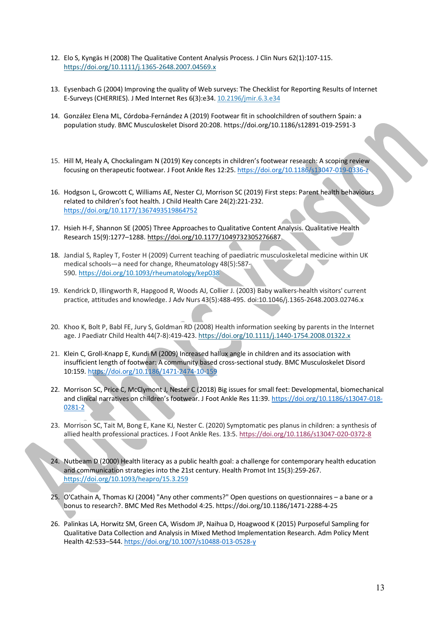- 12. Elo S, Kyngäs H (2008) The Qualitative Content Analysis Process. J Clin Nurs 62(1):107-115. https://doi.org/10.1111/j.1365-2648.2007.04569.x
- 13. Eysenbach G (2004) Improving the quality of Web surveys: The Checklist for Reporting Results of Internet E-Surveys (CHERRIES). J Med Internet Res 6(3):e34. 10.2196/jmir.6.3.e34
- 14. González Elena ML, Córdoba-Fernández A (2019) Footwear fit in schoolchildren of southern Spain: a population study. BMC Musculoskelet Disord 20:208. https://doi.org/10.1186/s12891-019-2591-3
- 15. Hill M, Healy A, Chockalingam N (2019) Key concepts in children's footwear research: A scoping review focusing on therapeutic footwear. J Foot Ankle Res 12:25. https://doi.org/10.1186/s13047-019-0336-z
- 16. Hodgson L, Growcott C, Williams AE, Nester CJ, Morrison SC (2019) First steps: Parent health behaviours related to children's foot health. J Child Health Care 24(2):221-232. https://doi.org/10.1177/1367493519864752
- 17. Hsieh H-F, Shannon SE (2005) Three Approaches to Qualitative Content Analysis. Qualitative Health Research 15(9):1277–1288. https://doi.org/10.1177/1049732305276687
- 18. Jandial S, Rapley T, Foster H (2009) Current teaching of paediatric musculoskeletal medicine within UK medical schools—a need for change, Rheumatology 48(5):587- 590. https://doi.org/10.1093/rheumatology/kep038
- 19. Kendrick D, Illingworth R, Hapgood R, Woods AJ, Collier J. (2003) Baby walkers-health visitors' current practice, attitudes and knowledge. J Adv Nurs 43(5):488-495. doi:10.1046/j.1365-2648.2003.02746.x
- 20. Khoo K, Bolt P, Babl FE, Jury S, Goldman RD (2008) Health information seeking by parents in the Internet age. J Paediatr Child Health 44(7-8):419-423. https://doi.org/10.1111/j.1440-1754.2008.01322.x
- 21. Klein C, Groll-Knapp E, Kundi M (2009) Increased hallux angle in children and its association with insufficient length of footwear: A community based cross-sectional study. BMC Musculoskelet Disord 10:159. https://doi.org/10.1186/1471-2474-10-159
- 22. Morrison SC, Price C, McClymont J, Nester C (2018) Big issues for small feet: Developmental, biomechanical and clinical narratives on children's footwear. J Foot Ankle Res 11:39. https://doi.org/10.1186/s13047-018- 0281-2
- 23. Morrison SC, Tait M, Bong E, Kane KJ, Nester C. (2020) Symptomatic pes planus in children: a synthesis of allied health professional practices. J Foot Ankle Res. 13:5. https://doi.org/10.1186/s13047-020-0372-8
- 24. Nutbeam D (2000) Health literacy as a public health goal: a challenge for contemporary health education and communication strategies into the 21st century. Health Promot Int 15(3):259-267. https://doi.org/10.1093/heapro/15.3.259
- 25. O'Cathain A, Thomas KJ (2004) "Any other comments?" Open questions on questionnaires a bane or a bonus to research?. BMC Med Res Methodol 4:25. https://doi.org/10.1186/1471-2288-4-25
- 26. Palinkas LA, Horwitz SM, Green CA, Wisdom JP, Naihua D, Hoagwood K (2015) Purposeful Sampling for Qualitative Data Collection and Analysis in Mixed Method Implementation Research. Adm Policy Ment Health 42:533–544. https://doi.org/10.1007/s10488-013-0528-y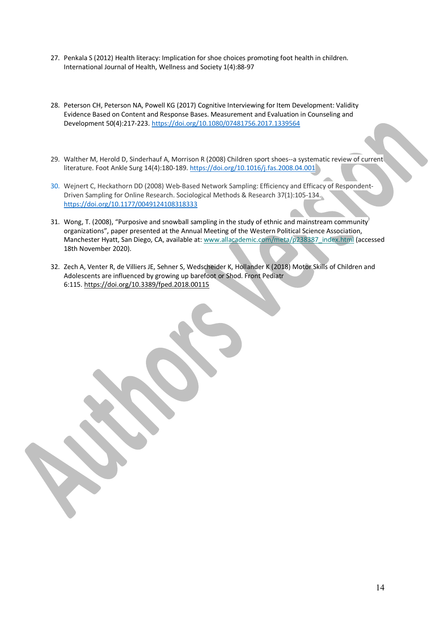- 27. Penkala S (2012) Health literacy: Implication for shoe choices promoting foot health in children. International Journal of Health, Wellness and Society 1(4):88-97
- 28. Peterson CH, Peterson NA, Powell KG (2017) Cognitive Interviewing for Item Development: Validity Evidence Based on Content and Response Bases. Measurement and Evaluation in Counseling and Development 50(4):217-223. https://doi.org/10.1080/07481756.2017.1339564
- 29. Walther M, Herold D, Sinderhauf A, Morrison R (2008) Children sport shoes--a systematic review of current literature. Foot Ankle Surg 14(4):180-189. https://doi.org/10.1016/j.fas.2008.04.001
- 30. Wejnert C, Heckathorn DD (2008) Web-Based Network Sampling: Efficiency and Efficacy of Respondent-Driven Sampling for Online Research. Sociological Methods & Research 37(1):105-134. https://doi.org/10.1177/0049124108318333
- 31. Wong, T. (2008), "Purposive and snowball sampling in the study of ethnic and mainstream community organizations", paper presented at the Annual Meeting of the Western Political Science Association, Manchester Hyatt, San Diego, CA, available at: www.allacademic.com/meta/p238387\_index.html (accessed 18th November 2020).
- 32. Zech A, Venter R, de Villiers JE, Sehner S, Wedscheider K, Hollander K (2018) Motor Skills of Children and Adolescents are influenced by growing up barefoot or Shod. Front Pediatr 6:115. https://doi.org/10.3389/fped.2018.00115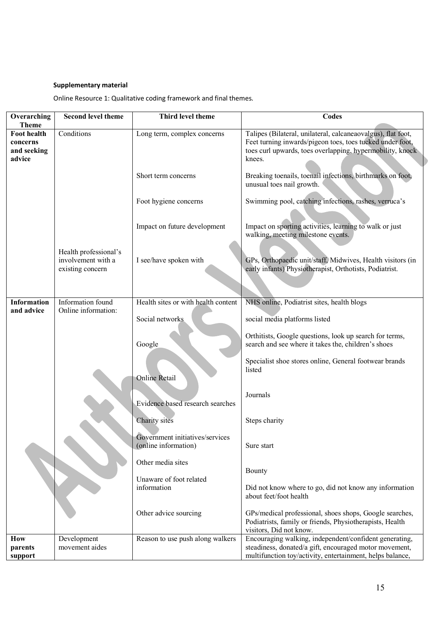# **Supplementary material**

Online Resource 1: Qualitative coding framework and final themes.

| <b>Second level theme</b>                                       | Third level theme                                       | <b>Codes</b>                                                                                                                                                                                     |
|-----------------------------------------------------------------|---------------------------------------------------------|--------------------------------------------------------------------------------------------------------------------------------------------------------------------------------------------------|
| Conditions                                                      | Long term, complex concerns                             | Talipes (Bilateral, unilateral, calcaneaovalgus), flat foot,<br>Feet turning inwards/pigeon toes, toes tucked under foot,<br>toes curl upwards, toes overlapping, hypermobility, knock<br>knees. |
|                                                                 | Short term concerns                                     | Breaking toenails, toenail infections, birthmarks on foot,<br>unusual toes nail growth.                                                                                                          |
|                                                                 | Foot hygiene concerns                                   | Swimming pool, catching infections, rashes, verruca's                                                                                                                                            |
|                                                                 | Impact on future development                            | Impact on sporting activities, learning to walk or just<br>walking, meeting milestone events.                                                                                                    |
| Health professional's<br>involvement with a<br>existing concern | I see/have spoken with                                  | GPs, Orthopaedic unit/staff, Midwives, Health visitors (in<br>early infants) Physiotherapist, Orthotists, Podiatrist.                                                                            |
| Information found                                               | Health sites or with health content                     | NHS online, Podiatrist sites, health blogs                                                                                                                                                       |
| Online information:                                             |                                                         |                                                                                                                                                                                                  |
|                                                                 |                                                         | social media platforms listed                                                                                                                                                                    |
|                                                                 | Google                                                  | Orthitists, Google questions, look up search for terms,<br>search and see where it takes the, children's shoes                                                                                   |
|                                                                 | <b>Online Retail</b>                                    | Specialist shoe stores online, General footwear brands<br>listed                                                                                                                                 |
|                                                                 | Evidence based research searches                        | Journals                                                                                                                                                                                         |
|                                                                 | Charity sites                                           | Steps charity                                                                                                                                                                                    |
|                                                                 | Government initiatives/services<br>(online information) | Sure start                                                                                                                                                                                       |
|                                                                 | Other media sites                                       | Bounty                                                                                                                                                                                           |
|                                                                 | information                                             | Did not know where to go, did not know any information<br>about feet/foot health                                                                                                                 |
|                                                                 | Other advice sourcing                                   | GPs/medical professional, shoes shops, Google searches,<br>Podiatrists, family or friends, Physiotherapists, Health<br>visitors, Did not know.                                                   |
| Development                                                     | Reason to use push along walkers                        | Encouraging walking, independent/confident generating,                                                                                                                                           |
|                                                                 |                                                         | steadiness, donated/a gift, encouraged motor movement,<br>multifunction toy/activity, entertainment, helps balance,                                                                              |
|                                                                 | movement aides                                          | Social networks<br>Unaware of foot related                                                                                                                                                       |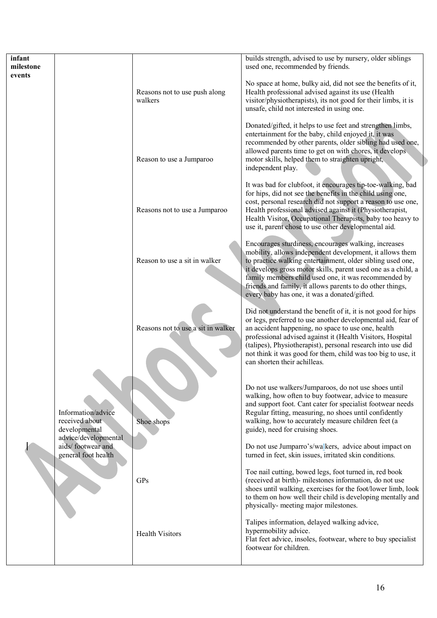| infant<br>milestone                                    |                                                                 |                                          | builds strength, advised to use by nursery, older siblings<br>used one, recommended by friends.                                                                                                                                                                                                                                                                                                                      |
|--------------------------------------------------------|-----------------------------------------------------------------|------------------------------------------|----------------------------------------------------------------------------------------------------------------------------------------------------------------------------------------------------------------------------------------------------------------------------------------------------------------------------------------------------------------------------------------------------------------------|
| events                                                 |                                                                 | Reasons not to use push along<br>walkers | No space at home, bulky aid, did not see the benefits of it,<br>Health professional advised against its use (Health<br>visitor/physiotherapists), its not good for their limbs, it is<br>unsafe, child not interested in using one.                                                                                                                                                                                  |
|                                                        |                                                                 | Reason to use a Jumparoo                 | Donated/gifted, it helps to use feet and strengthen limbs,<br>entertainment for the baby, child enjoyed it, it was<br>recommended by other parents, older sibling had used one,<br>allowed parents time to get on with chores, it develops.<br>motor skills, helped them to straighten upright,<br>independent play.                                                                                                 |
|                                                        |                                                                 | Reasons not to use a Jumparoo            | It was bad for clubfoot, it encourages tip-toe-walking, bad<br>for hips, did not see the benefits in the child using one,<br>cost, personal research did not support a reason to use one,<br>Health professional advised against it (Physiotherapist,<br>Health Visitor, Occupational Therapists, baby too heavy to<br>use it, parent chose to use other developmental aid.                                          |
|                                                        |                                                                 | Reason to use a sit in walker            | Encourages sturdiness, encourages walking, increases<br>mobility, allows independent development, it allows them<br>to practice walking entertainment, older sibling used one,<br>it develops gross motor skills, parent used one as a child, a<br>family members child used one, it was recommended by<br>friends and family, it allows parents to do other things,<br>every baby has one, it was a donated/gifted. |
|                                                        |                                                                 | Reasons not to use a sit in walker       | Did not understand the benefit of it, it is not good for hips<br>or legs, preferred to use another developmental aid, fear of<br>an accident happening, no space to use one, health<br>professional advised against it (Health Visitors, Hospital<br>(talipes), Physiotherapist), personal research into use did<br>not think it was good for them, child was too big to use, it<br>can shorten their achilleas.     |
| received about<br>developmental<br>general foot health | Information/advice<br>advice/developmental<br>aids/footwear and | Shoe shops                               | Do not use walkers/Jumparoos, do not use shoes until<br>walking, how often to buy footwear, advice to measure<br>and support foot. Cant cater for specialist footwear needs<br>Regular fitting, measuring, no shoes until confidently<br>walking, how to accurately measure children feet (a<br>guide), need for cruising shoes.<br>Do not use Jumparro's/walkers, advice about impact on                            |
|                                                        |                                                                 | GPs                                      | turned in feet, skin issues, irritated skin conditions.<br>Toe nail cutting, bowed legs, foot turned in, red book<br>(received at birth)- milestones information, do not use<br>shoes until walking, exercises for the foot/lower limb, look<br>to them on how well their child is developing mentally and<br>physically- meeting major milestones.                                                                  |
|                                                        |                                                                 | <b>Health Visitors</b>                   | Talipes information, delayed walking advice,<br>hypermobility advice.<br>Flat feet advice, insoles, footwear, where to buy specialist<br>footwear for children.                                                                                                                                                                                                                                                      |